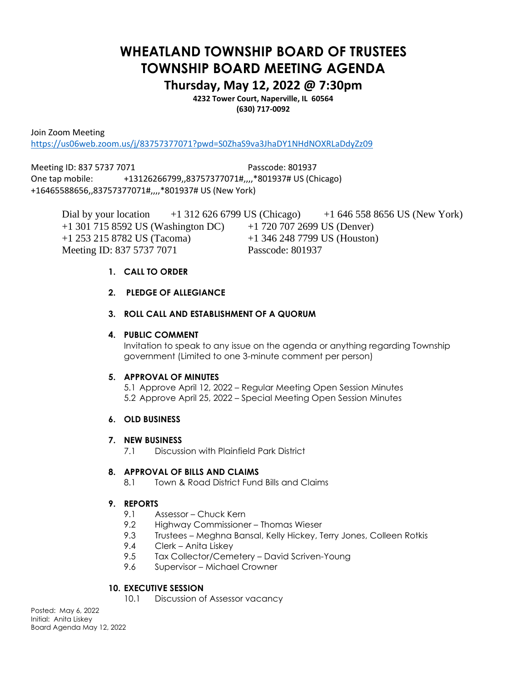# **WHEATLAND TOWNSHIP BOARD OF TRUSTEES TOWNSHIP BOARD MEETING AGENDA**

# **Thursday, May 12, 2022 @ 7:30pm**

**4232 Tower Court, Naperville, IL 60564 (630) 717-0092**

Join Zoom Meeting

<https://us06web.zoom.us/j/83757377071?pwd=S0ZhaS9va3JhaDY1NHdNOXRLaDdyZz09>

Meeting ID: 837 5737 7071 Passcode: 801937 One tap mobile: +13126266799,,83757377071#,,,,\*801937# US (Chicago) +16465588656,,83757377071#,,,,\*801937# US (New York)

Dial by your location +1 312 626 6799 US (Chicago) +1 646 558 8656 US (New York) +1 301 715 8592 US (Washington DC) +1 720 707 2699 US (Denver) +1 253 215 8782 US (Tacoma) +1 346 248 7799 US (Houston) Meeting ID: 837 5737 7071 Passcode: 801937

#### **1. CALL TO ORDER**

# **2. PLEDGE OF ALLEGIANCE**

# **3. ROLL CALL AND ESTABLISHMENT OF A QUORUM**

#### **4. PUBLIC COMMENT**

Invitation to speak to any issue on the agenda or anything regarding Township government (Limited to one 3-minute comment per person)

#### **5. APPROVAL OF MINUTES**

5.1 Approve April 12, 2022 – Regular Meeting Open Session Minutes 5.2 Approve April 25, 2022 – Special Meeting Open Session Minutes

#### **6. OLD BUSINESS**

#### **7. NEW BUSINESS**

7.1 Discussion with Plainfield Park District

#### **8. APPROVAL OF BILLS AND CLAIMS**

8.1 Town & Road District Fund Bills and Claims

#### **9. REPORTS**

- 9.1 Assessor Chuck Kern
- 9.2 Highway Commissioner Thomas Wieser
- 9.3 Trustees Meghna Bansal, Kelly Hickey, Terry Jones, Colleen Rotkis
- 9.4 Clerk Anita Liskey
- 9.5 Tax Collector/Cemetery David Scriven-Young
- 9.6 Supervisor Michael Crowner

#### **10. EXECUTIVE SESSION**

10.1 Discussion of Assessor vacancy

Posted: May 6, 2022 Initial: Anita Liskey Board Agenda May 12, 2022